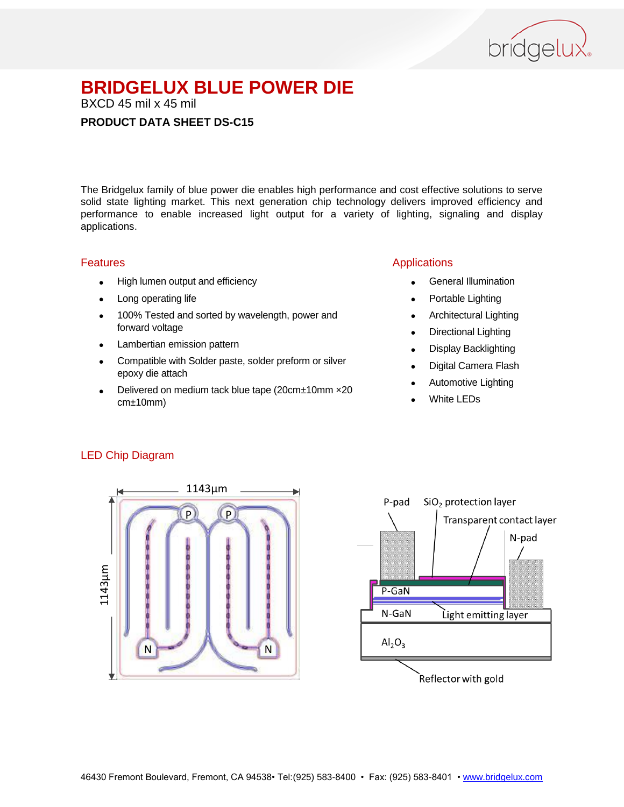

BXCD 45 mil x 45 mil

#### **PRODUCT DATA SHEET DS-C15**

The Bridgelux family of blue power die enables high performance and cost effective solutions to serve solid state lighting market. This next generation chip technology delivers improved efficiency and performance to enable increased light output for a variety of lighting, signaling and display applications.

#### Features

- High lumen output and efficiency
- Long operating life
- 100% Tested and sorted by wavelength, power and forward voltage
- Lambertian emission pattern
- Compatible with Solder paste, solder preform or silver epoxy die attach
- Delivered on medium tack blue tape (20cm±10mm ×20 cm±10mm)

#### Applications

- General Illumination
- Portable Lighting
- Architectural Lighting
- Directional Lighting
- Display Backlighting
- Digital Camera Flash
- Automotive Lighting
- White LEDs

#### LED Chip Diagram



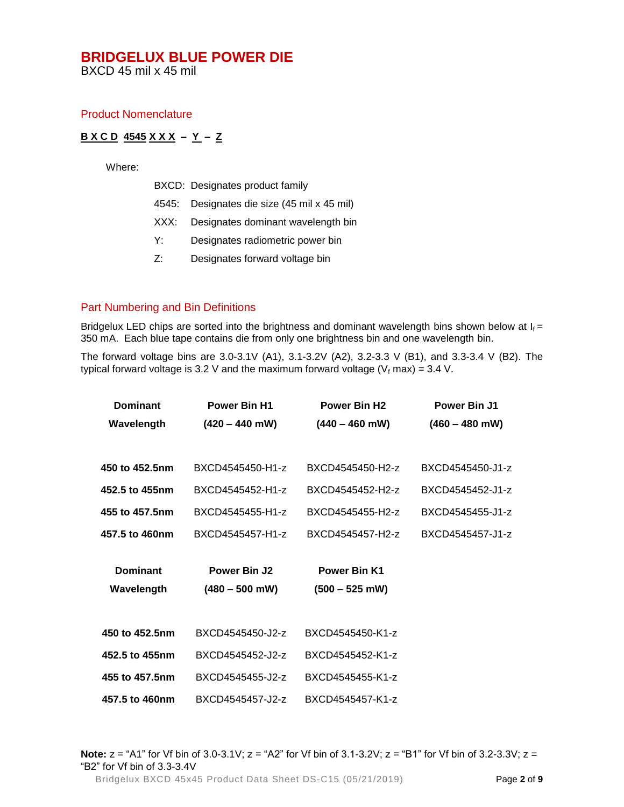BXCD 45 mil x 45 mil

#### Product Nomenclature

#### **B X C D 4545 X X X – Y – Z**

Where:

- BXCD: Designates product family
- 4545: Designates die size (45 mil x 45 mil)
- XXX: Designates dominant wavelength bin
- Y: Designates radiometric power bin
- Z: Designates forward voltage bin

### Part Numbering and Bin Definitions

Bridgelux LED chips are sorted into the brightness and dominant wavelength bins shown below at  $I_f =$ 350 mA. Each blue tape contains die from only one brightness bin and one wavelength bin.

The forward voltage bins are 3.0-3.1V (A1), 3.1-3.2V (A2), 3.2-3.3 V (B1), and 3.3-3.4 V (B2). The typical forward voltage is 3.2 V and the maximum forward voltage ( $V_f$  max) = 3.4 V.

| <b>Dominant</b> | <b>Power Bin H1</b> | <b>Power Bin H2</b> | Power Bin J1     |
|-----------------|---------------------|---------------------|------------------|
| Wavelength      | $(420 - 440$ mW)    | $(440 - 460$ mW)    | $(460 - 480$ mW) |
|                 |                     |                     |                  |
| 450 to 452.5nm  | BXCD4545450-H1-z    | BXCD4545450-H2-z    | BXCD4545450-J1-z |
| 452.5 to 455nm  | BXCD4545452-H1-z    | BXCD4545452-H2-z    | BXCD4545452-J1-z |
| 455 to 457.5nm  | BXCD4545455-H1-z    | BXCD4545455-H2-z    | BXCD4545455-J1-z |
| 457.5 to 460nm  | BXCD4545457-H1-z    | BXCD4545457-H2-z    | BXCD4545457-J1-z |
|                 |                     |                     |                  |
| <b>Dominant</b> | Power Bin J2        | <b>Power Bin K1</b> |                  |
| Wavelength      | $(480 - 500$ mW)    | $(500 - 525$ mW)    |                  |
|                 |                     |                     |                  |
|                 |                     |                     |                  |
| 450 to 452.5nm  | BXCD4545450-J2-z    | BXCD4545450-K1-z    |                  |
| 452.5 to 455nm  | BXCD4545452-J2-z    | BXCD4545452-K1-z    |                  |
| 455 to 457.5nm  | BXCD4545455-J2-z    | BXCD4545455-K1-z    |                  |
| 457.5 to 460nm  | BXCD4545457-J2-z    | BXCD4545457-K1-z    |                  |

Bridgelux BXCD 45x45 Product Data Sheet DS-C15 (05/21/2019) Page **2** of **9 Note:** z = "A1" for Vf bin of 3.0-3.1V; z = "A2" for Vf bin of 3.1-3.2V; z = "B1" for Vf bin of 3.2-3.3V; z = "B2" for Vf bin of 3.3-3.4V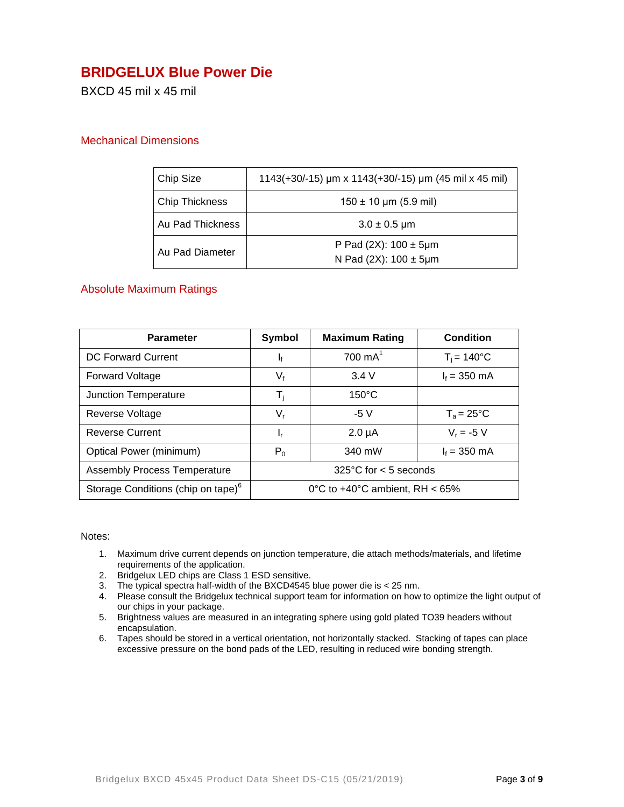### **BRIDGELUX Blue Power Die**

BXCD 45 mil x 45 mil

#### Mechanical Dimensions

| Chip Size        | 1143(+30/-15) µm x 1143(+30/-15) µm (45 mil x 45 mil)          |  |
|------------------|----------------------------------------------------------------|--|
| Chip Thickness   | $150 \pm 10$ µm (5.9 mil)                                      |  |
| Au Pad Thickness | $3.0 \pm 0.5 \,\text{\mu m}$                                   |  |
| Au Pad Diameter  | P Pad (2X): $100 \pm 5 \mu m$<br>N Pad (2X): $100 \pm 5 \mu m$ |  |

#### Absolute Maximum Ratings

| <b>Parameter</b>                               | <b>Symbol</b>                     | <b>Maximum Rating</b> | Condition              |
|------------------------------------------------|-----------------------------------|-----------------------|------------------------|
| DC Forward Current                             | Ιf                                | $700 \text{ mA}^1$    | $T_i = 140^{\circ}C$   |
| <b>Forward Voltage</b>                         | $V_{f}$                           | 3.4V                  | $I_f = 350$ mA         |
| Junction Temperature                           | T,                                | $150^{\circ}$ C       |                        |
| Reverse Voltage                                | $V_{r}$                           | $-5V$                 | $T_a = 25^{\circ}C$    |
| <b>Reverse Current</b>                         | ı,                                | $2.0 \mu A$           | $V_r = -5 V$           |
| Optical Power (minimum)                        | $P_0$                             | 340 mW                | $I_f = 350 \text{ mA}$ |
| <b>Assembly Process Temperature</b>            | $325^{\circ}$ C for < 5 seconds   |                       |                        |
| Storage Conditions (chip on tape) <sup>6</sup> | 0°C to $+40$ °C ambient, RH < 65% |                       |                        |

#### Notes:

- 1. Maximum drive current depends on junction temperature, die attach methods/materials, and lifetime requirements of the application.
- 2. Bridgelux LED chips are Class 1 ESD sensitive.
- 3. The typical spectra half-width of the BXCD4545 blue power die is < 25 nm.
- 4. Please consult the Bridgelux technical support team for information on how to optimize the light output of our chips in your package.
- 5. Brightness values are measured in an integrating sphere using gold plated TO39 headers without encapsulation.
- 6. Tapes should be stored in a vertical orientation, not horizontally stacked. Stacking of tapes can place excessive pressure on the bond pads of the LED, resulting in reduced wire bonding strength.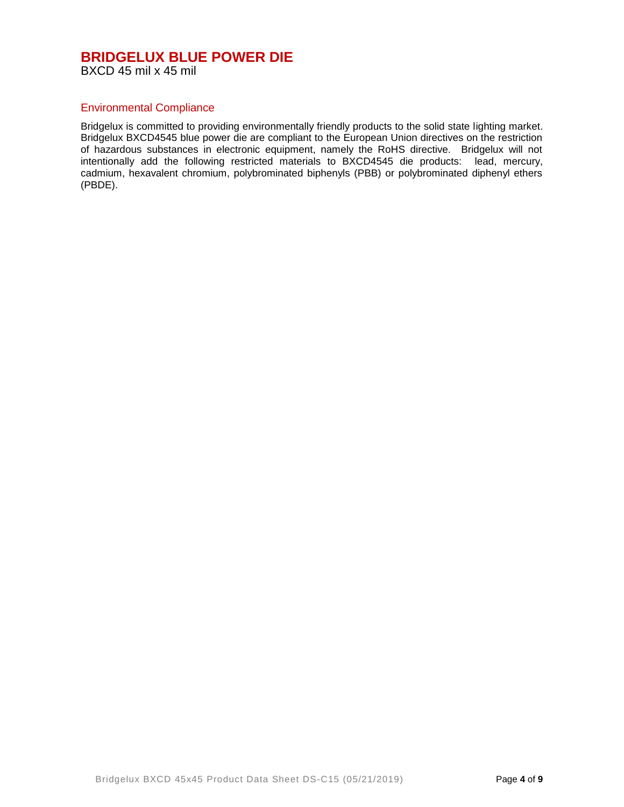#### Environmental Compliance

Bridgelux is committed to providing environmentally friendly products to the solid state lighting market. Bridgelux BXCD4545 blue power die are compliant to the European Union directives on the restriction of hazardous substances in electronic equipment, namely the RoHS directive. Bridgelux will not intentionally add the following restricted materials to BXCD4545 die products: lead, mercury, cadmium, hexavalent chromium, polybrominated biphenyls (PBB) or polybrominated diphenyl ethers (PBDE).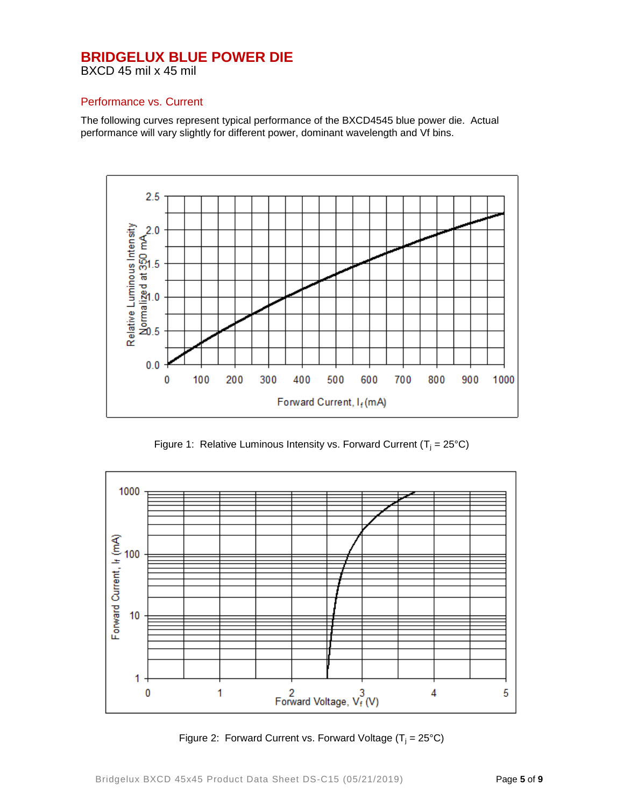#### Performance vs. Current

The following curves represent typical performance of the BXCD4545 blue power die. Actual performance will vary slightly for different power, dominant wavelength and Vf bins.



Figure 1: Relative Luminous Intensity vs. Forward Current ( $T_i = 25^{\circ}C$ )



Figure 2: Forward Current vs. Forward Voltage  $(T_i = 25^{\circ}C)$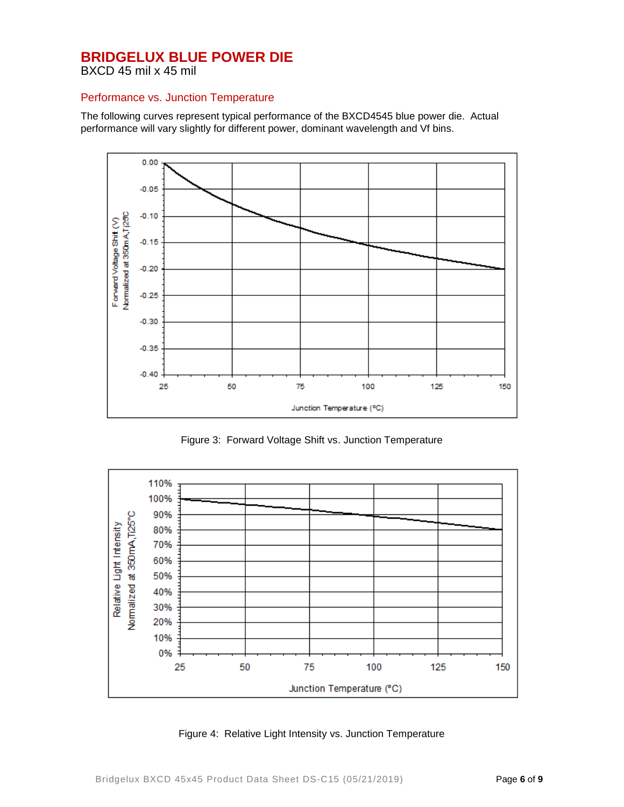BXCD 45 mil x 45 mil

#### Performance vs. Junction Temperature

The following curves represent typical performance of the BXCD4545 blue power die. Actual performance will vary slightly for different power, dominant wavelength and Vf bins.



Figure 3: Forward Voltage Shift vs. Junction Temperature



Figure 4: Relative Light Intensity vs. Junction Temperature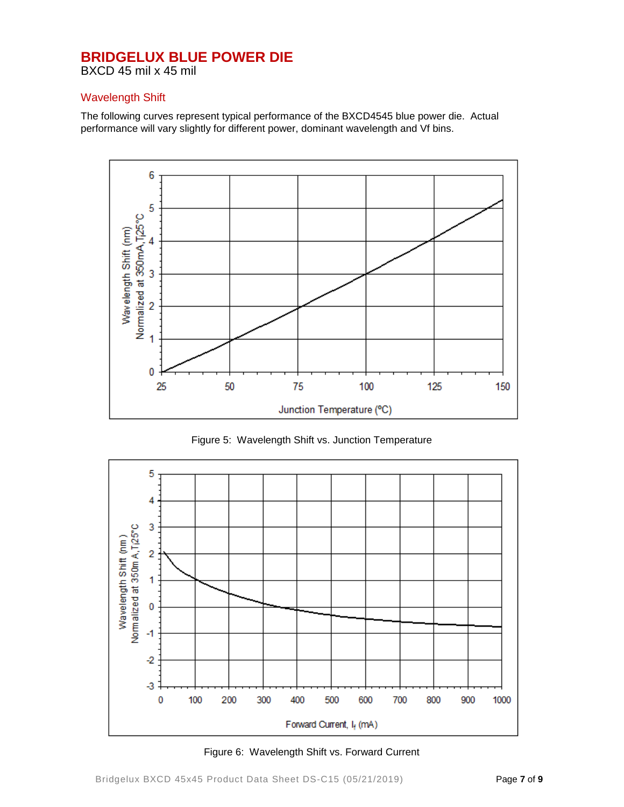BXCD 45 mil x 45 mil

#### Wavelength Shift

The following curves represent typical performance of the BXCD4545 blue power die. Actual performance will vary slightly for different power, dominant wavelength and Vf bins.



Figure 5: Wavelength Shift vs. Junction Temperature



Figure 6: Wavelength Shift vs. Forward Current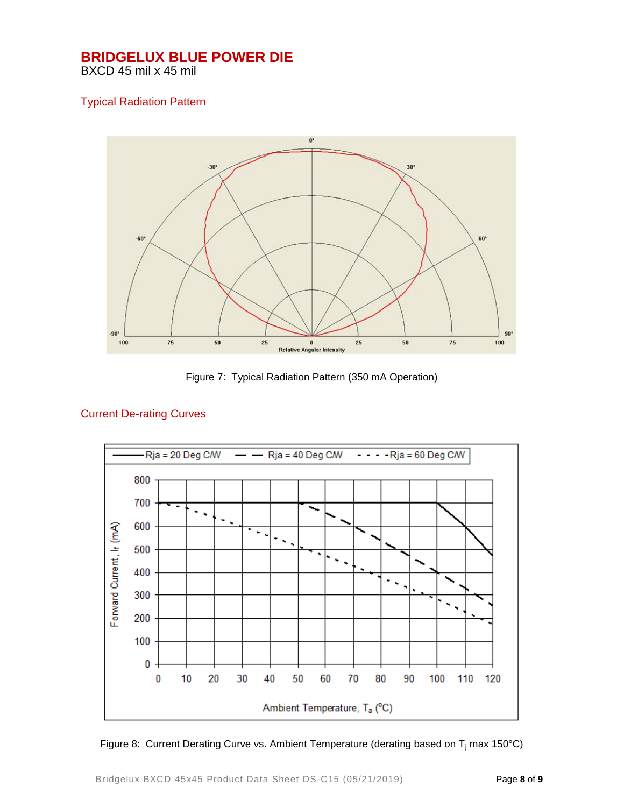### Typical Radiation Pattern



Figure 7: Typical Radiation Pattern (350 mA Operation)



#### Current De-rating Curves